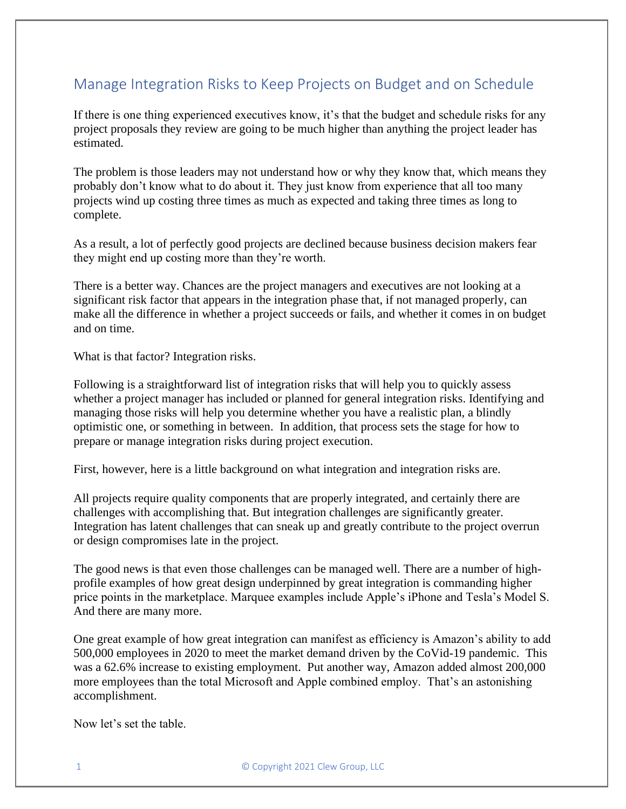## Manage Integration Risks to Keep Projects on Budget and on Schedule

If there is one thing experienced executives know, it's that the budget and schedule risks for any project proposals they review are going to be much higher than anything the project leader has estimated.

The problem is those leaders may not understand how or why they know that, which means they probably don't know what to do about it. They just know from experience that all too many projects wind up costing three times as much as expected and taking three times as long to complete.

As a result, a lot of perfectly good projects are declined because business decision makers fear they might end up costing more than they're worth.

There is a better way. Chances are the project managers and executives are not looking at a significant risk factor that appears in the integration phase that, if not managed properly, can make all the difference in whether a project succeeds or fails, and whether it comes in on budget and on time.

What is that factor? Integration risks.

Following is a straightforward list of integration risks that will help you to quickly assess whether a project manager has included or planned for general integration risks. Identifying and managing those risks will help you determine whether you have a realistic plan, a blindly optimistic one, or something in between. In addition, that process sets the stage for how to prepare or manage integration risks during project execution.

First, however, here is a little background on what integration and integration risks are.

All projects require quality components that are properly integrated, and certainly there are challenges with accomplishing that. But integration challenges are significantly greater. Integration has latent challenges that can sneak up and greatly contribute to the project overrun or design compromises late in the project.

The good news is that even those challenges can be managed well. There are a number of highprofile examples of how great design underpinned by great integration is commanding higher price points in the marketplace. Marquee examples include Apple's iPhone and Tesla's Model S. And there are many more.

One great example of how great integration can manifest as efficiency is Amazon's ability to add 500,000 employees in 2020 to meet the market demand driven by the CoVid-19 pandemic. This was a 62.6% increase to existing employment. Put another way, Amazon added almost 200,000 more employees than the total Microsoft and Apple combined employ. That's an astonishing accomplishment.

Now let's set the table.

1 © Copyright 2021 Clew Group, LLC